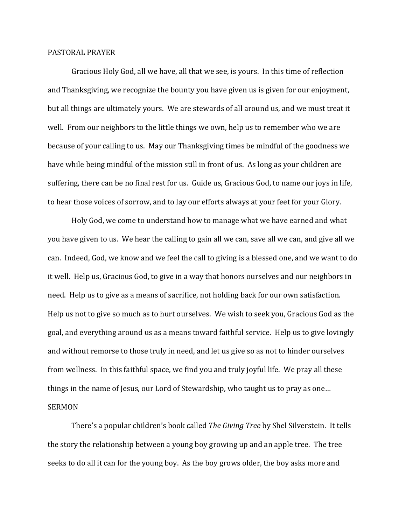## PASTORAL PRAYER

 Gracious Holy God, all we have, all that we see, is yours. In this time of reflection and Thanksgiving, we recognize the bounty you have given us is given for our enjoyment, but all things are ultimately yours. We are stewards of all around us, and we must treat it well. From our neighbors to the little things we own, help us to remember who we are because of your calling to us. May our Thanksgiving times be mindful of the goodness we have while being mindful of the mission still in front of us. As long as your children are suffering, there can be no final rest for us. Guide us, Gracious God, to name our joys in life, to hear those voices of sorrow, and to lay our efforts always at your feet for your Glory.

 Holy God, we come to understand how to manage what we have earned and what you have given to us. We hear the calling to gain all we can, save all we can, and give all we can. Indeed, God, we know and we feel the call to giving is a blessed one, and we want to do it well. Help us, Gracious God, to give in a way that honors ourselves and our neighbors in need. Help us to give as a means of sacrifice, not holding back for our own satisfaction. Help us not to give so much as to hurt ourselves. We wish to seek you, Gracious God as the goal, and everything around us as a means toward faithful service. Help us to give lovingly and without remorse to those truly in need, and let us give so as not to hinder ourselves from wellness. In this faithful space, we find you and truly joyful life. We pray all these things in the name of Jesus, our Lord of Stewardship, who taught us to pray as one… SERMON

 There's a popular children's book called *The Giving Tree* by Shel Silverstein. It tells the story the relationship between a young boy growing up and an apple tree. The tree seeks to do all it can for the young boy. As the boy grows older, the boy asks more and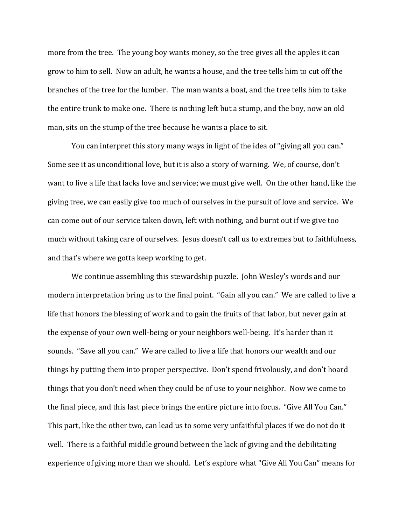more from the tree. The young boy wants money, so the tree gives all the apples it can grow to him to sell. Now an adult, he wants a house, and the tree tells him to cut off the branches of the tree for the lumber. The man wants a boat, and the tree tells him to take the entire trunk to make one. There is nothing left but a stump, and the boy, now an old man, sits on the stump of the tree because he wants a place to sit.

 You can interpret this story many ways in light of the idea of "giving all you can." Some see it as unconditional love, but it is also a story of warning. We, of course, don't want to live a life that lacks love and service; we must give well. On the other hand, like the giving tree, we can easily give too much of ourselves in the pursuit of love and service. We can come out of our service taken down, left with nothing, and burnt out if we give too much without taking care of ourselves. Jesus doesn't call us to extremes but to faithfulness, and that's where we gotta keep working to get.

 We continue assembling this stewardship puzzle. John Wesley's words and our modern interpretation bring us to the final point. "Gain all you can." We are called to live a life that honors the blessing of work and to gain the fruits of that labor, but never gain at the expense of your own well-being or your neighbors well-being. It's harder than it sounds. "Save all you can." We are called to live a life that honors our wealth and our things by putting them into proper perspective. Don't spend frivolously, and don't hoard things that you don't need when they could be of use to your neighbor. Now we come to the final piece, and this last piece brings the entire picture into focus. "Give All You Can." This part, like the other two, can lead us to some very unfaithful places if we do not do it well. There is a faithful middle ground between the lack of giving and the debilitating experience of giving more than we should. Let's explore what "Give All You Can" means for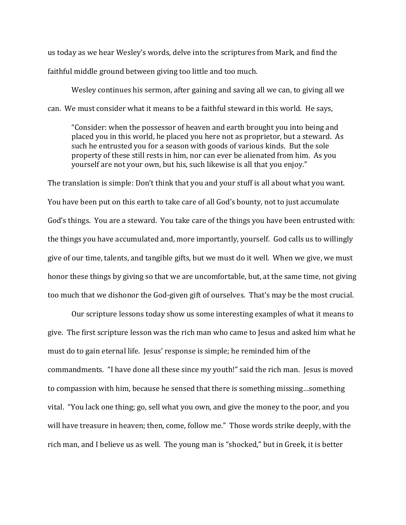us today as we hear Wesley's words, delve into the scriptures from Mark, and find the faithful middle ground between giving too little and too much.

 Wesley continues his sermon, after gaining and saving all we can, to giving all we can. We must consider what it means to be a faithful steward in this world. He says,

"Consider: when the possessor of heaven and earth brought you into being and placed you in this world, he placed you here not as proprietor, but a steward. As such he entrusted you for a season with goods of various kinds. But the sole property of these still rests in him, nor can ever be alienated from him. As you yourself are not your own, but his, such likewise is all that you enjoy."

The translation is simple: Don't think that you and your stuff is all about what you want. You have been put on this earth to take care of all God's bounty, not to just accumulate God's things. You are a steward. You take care of the things you have been entrusted with: the things you have accumulated and, more importantly, yourself. God calls us to willingly give of our time, talents, and tangible gifts, but we must do it well. When we give, we must honor these things by giving so that we are uncomfortable, but, at the same time, not giving too much that we dishonor the God-given gift of ourselves. That's may be the most crucial.

Our scripture lessons today show us some interesting examples of what it means to give. The first scripture lesson was the rich man who came to Jesus and asked him what he must do to gain eternal life. Jesus' response is simple; he reminded him of the commandments. "I have done all these since my youth!" said the rich man. Jesus is moved to compassion with him, because he sensed that there is something missing…something vital. "You lack one thing; go, sell what you own, and give the money to the poor, and you will have treasure in heaven; then, come, follow me." Those words strike deeply, with the rich man, and I believe us as well. The young man is "shocked," but in Greek, it is better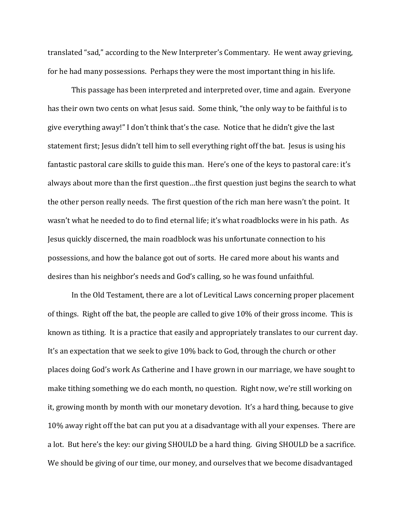translated "sad," according to the New Interpreter's Commentary. He went away grieving, for he had many possessions. Perhaps they were the most important thing in his life.

 This passage has been interpreted and interpreted over, time and again. Everyone has their own two cents on what Jesus said. Some think, "the only way to be faithful is to give everything away!" I don't think that's the case. Notice that he didn't give the last statement first; Jesus didn't tell him to sell everything right off the bat. Jesus is using his fantastic pastoral care skills to guide this man. Here's one of the keys to pastoral care: it's always about more than the first question…the first question just begins the search to what the other person really needs. The first question of the rich man here wasn't the point. It wasn't what he needed to do to find eternal life; it's what roadblocks were in his path. As Jesus quickly discerned, the main roadblock was his unfortunate connection to his possessions, and how the balance got out of sorts. He cared more about his wants and desires than his neighbor's needs and God's calling, so he was found unfaithful.

 In the Old Testament, there are a lot of Levitical Laws concerning proper placement of things. Right off the bat, the people are called to give 10% of their gross income. This is known as tithing. It is a practice that easily and appropriately translates to our current day. It's an expectation that we seek to give 10% back to God, through the church or other places doing God's work As Catherine and I have grown in our marriage, we have sought to make tithing something we do each month, no question. Right now, we're still working on it, growing month by month with our monetary devotion. It's a hard thing, because to give 10% away right off the bat can put you at a disadvantage with all your expenses. There are a lot. But here's the key: our giving SHOULD be a hard thing. Giving SHOULD be a sacrifice. We should be giving of our time, our money, and ourselves that we become disadvantaged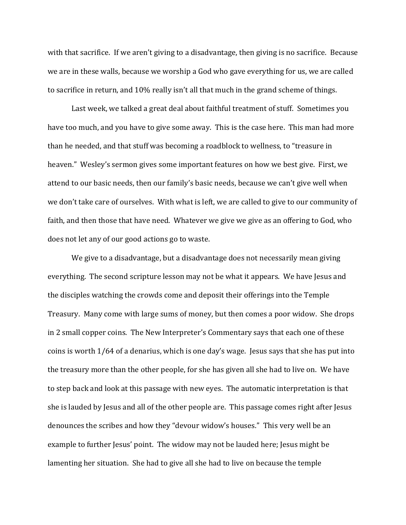with that sacrifice. If we aren't giving to a disadvantage, then giving is no sacrifice. Because we are in these walls, because we worship a God who gave everything for us, we are called to sacrifice in return, and 10% really isn't all that much in the grand scheme of things.

Last week, we talked a great deal about faithful treatment of stuff. Sometimes you have too much, and you have to give some away. This is the case here. This man had more than he needed, and that stuff was becoming a roadblock to wellness, to "treasure in heaven." Wesley's sermon gives some important features on how we best give. First, we attend to our basic needs, then our family's basic needs, because we can't give well when we don't take care of ourselves. With what is left, we are called to give to our community of faith, and then those that have need. Whatever we give we give as an offering to God, who does not let any of our good actions go to waste.

 We give to a disadvantage, but a disadvantage does not necessarily mean giving everything. The second scripture lesson may not be what it appears. We have Jesus and the disciples watching the crowds come and deposit their offerings into the Temple Treasury. Many come with large sums of money, but then comes a poor widow. She drops in 2 small copper coins. The New Interpreter's Commentary says that each one of these coins is worth 1/64 of a denarius, which is one day's wage. Jesus says that she has put into the treasury more than the other people, for she has given all she had to live on. We have to step back and look at this passage with new eyes. The automatic interpretation is that she is lauded by Jesus and all of the other people are. This passage comes right after Jesus denounces the scribes and how they "devour widow's houses." This very well be an example to further Jesus' point. The widow may not be lauded here; Jesus might be lamenting her situation. She had to give all she had to live on because the temple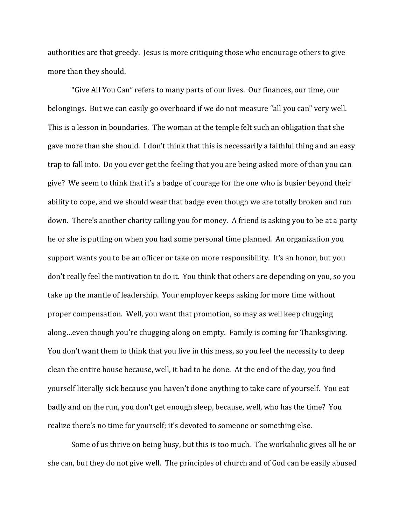authorities are that greedy. Jesus is more critiquing those who encourage others to give more than they should.

 "Give All You Can" refers to many parts of our lives. Our finances, our time, our belongings. But we can easily go overboard if we do not measure "all you can" very well. This is a lesson in boundaries. The woman at the temple felt such an obligation that she gave more than she should. I don't think that this is necessarily a faithful thing and an easy trap to fall into. Do you ever get the feeling that you are being asked more of than you can give? We seem to think that it's a badge of courage for the one who is busier beyond their ability to cope, and we should wear that badge even though we are totally broken and run down. There's another charity calling you for money. A friend is asking you to be at a party he or she is putting on when you had some personal time planned. An organization you support wants you to be an officer or take on more responsibility. It's an honor, but you don't really feel the motivation to do it. You think that others are depending on you, so you take up the mantle of leadership. Your employer keeps asking for more time without proper compensation. Well, you want that promotion, so may as well keep chugging along…even though you're chugging along on empty. Family is coming for Thanksgiving. You don't want them to think that you live in this mess, so you feel the necessity to deep clean the entire house because, well, it had to be done. At the end of the day, you find yourself literally sick because you haven't done anything to take care of yourself. You eat badly and on the run, you don't get enough sleep, because, well, who has the time? You realize there's no time for yourself; it's devoted to someone or something else.

Some of us thrive on being busy, but this is too much. The workaholic gives all he or she can, but they do not give well. The principles of church and of God can be easily abused